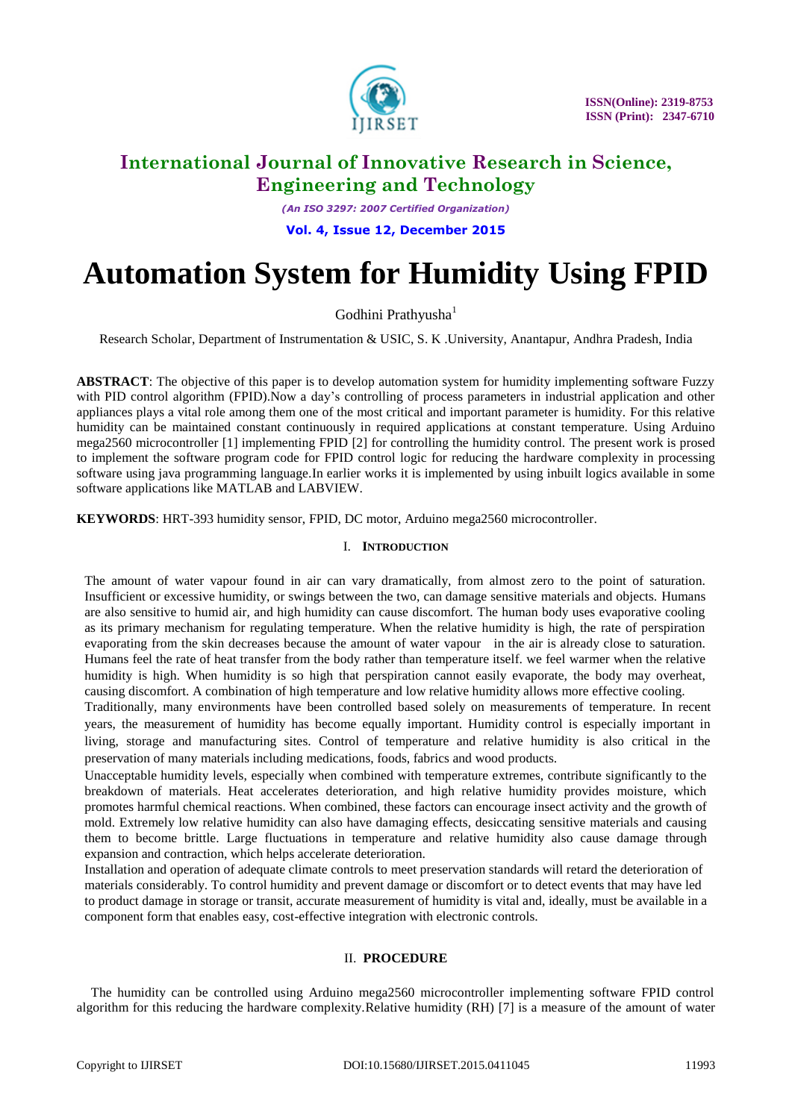

*(An ISO 3297: 2007 Certified Organization)*

**Vol. 4, Issue 12, December 2015**

# **Automation System for Humidity Using FPID**

Godhini Prathyusha<sup>1</sup>

Research Scholar, Department of Instrumentation & USIC, S. K .University, Anantapur, Andhra Pradesh, India

**ABSTRACT**: The objective of this paper is to develop automation system for humidity implementing software Fuzzy with PID control algorithm (FPID).Now a day's controlling of process parameters in industrial application and other appliances plays a vital role among them one of the most critical and important parameter is humidity. For this relative humidity can be maintained constant continuously in required applications at constant temperature. Using Arduino mega2560 microcontroller [1] implementing FPID [2] for controlling the humidity control. The present work is prosed to implement the software program code for FPID control logic for reducing the hardware complexity in processing software using java programming language.In earlier works it is implemented by using inbuilt logics available in some software applications like MATLAB and LABVIEW.

**KEYWORDS**: HRT-393 humidity sensor, FPID, DC motor, Arduino mega2560 microcontroller.

### I. **INTRODUCTION**

The amount of water vapour found in air can vary dramatically, from almost zero to the point of saturation. Insufficient or excessive humidity, or swings between the two, can damage sensitive materials and objects. Humans are also sensitive to humid air, and high humidity can cause discomfort. The human body uses evaporative cooling as its primary mechanism for regulating temperature. When the relative humidity is high, the rate of perspiration evaporating from the skin decreases because the amount of water vapour in the air is already close to saturation. Humans feel the rate of heat transfer from the body rather than temperature itself. we feel warmer when the relative humidity is high. When humidity is so high that perspiration cannot easily evaporate, the body may overheat, causing discomfort. A combination of high temperature and low relative humidity allows more effective cooling.

Traditionally, many environments have been controlled based solely on measurements of temperature. In recent years, the measurement of humidity has become equally important. Humidity control is especially important in living, storage and manufacturing sites. Control of temperature and relative humidity is also critical in the preservation of many materials including medications, foods, fabrics and wood products.

Unacceptable humidity levels, especially when combined with temperature extremes, contribute significantly to the breakdown of materials. Heat accelerates deterioration, and high relative humidity provides moisture, which promotes harmful chemical reactions. When combined, these factors can encourage insect activity and the growth of mold. Extremely low relative humidity can also have damaging effects, desiccating sensitive materials and causing them to become brittle. Large fluctuations in temperature and relative humidity also cause damage through expansion and contraction, which helps accelerate deterioration.

Installation and operation of adequate climate controls to meet preservation standards will retard the deterioration of materials considerably. To control humidity and prevent damage or discomfort or to detect events that may have led to product damage in storage or transit, accurate measurement of humidity is vital and, ideally, must be available in a component form that enables easy, cost-effective integration with electronic controls.

### II. **PROCEDURE**

The humidity can be controlled using Arduino mega2560 microcontroller implementing software FPID control algorithm for this reducing the hardware complexity.Relative humidity (RH) [7] is a measure of the amount of water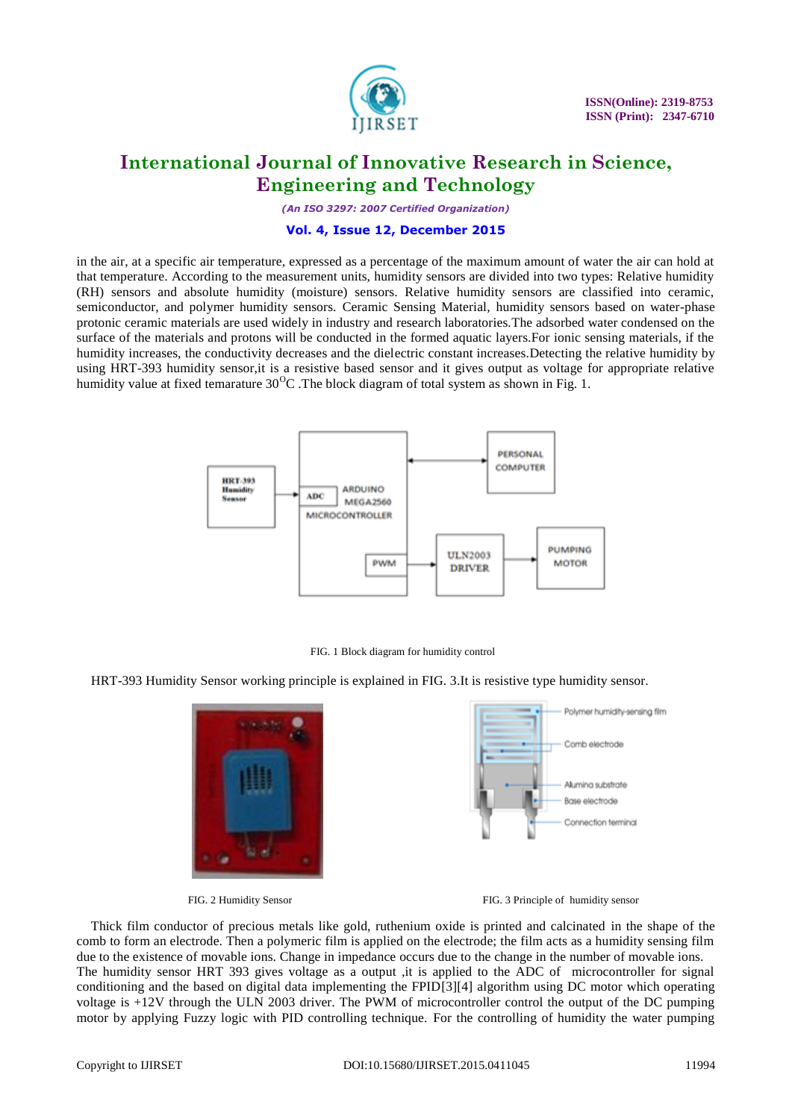

*(An ISO 3297: 2007 Certified Organization)*

#### **Vol. 4, Issue 12, December 2015**

in the air, at a specific air temperature, expressed as a percentage of the maximum amount of water the air can hold at that temperature. According to the measurement units, humidity sensors are divided into two types: Relative humidity (RH) sensors and absolute humidity (moisture) sensors. Relative humidity sensors are classified into ceramic, semiconductor, and polymer humidity sensors. Ceramic Sensing Material, humidity sensors based on water-phase protonic ceramic materials are used widely in industry and research laboratories.The adsorbed water condensed on the surface of the materials and protons will be conducted in the formed aquatic layers.For ionic sensing materials, if the humidity increases, the conductivity decreases and the dielectric constant increases.Detecting the relative humidity by using HRT-393 humidity sensor,it is a resistive based sensor and it gives output as voltage for appropriate relative humidity value at fixed temarature  $30^{\circ}$ C. The block diagram of total system as shown in Fig. 1.



FIG. 1 Block diagram for humidity control

HRT-393 Humidity Sensor working principle is explained in FIG. 3.It is resistive type humidity sensor.







Thick film conductor of precious metals like gold, ruthenium oxide is printed and calcinated in the shape of the comb to form an electrode. Then a polymeric film is applied on the electrode; the film acts as a humidity sensing film due to the existence of movable ions. Change in impedance occurs due to the change in the number of movable ions. The humidity sensor HRT 393 gives voltage as a output ,it is applied to the ADC of microcontroller for signal conditioning and the based on digital data implementing the FPID[3][4] algorithm using DC motor which operating voltage is +12V through the ULN 2003 driver. The PWM of microcontroller control the output of the DC pumping motor by applying Fuzzy logic with PID controlling technique. For the controlling of humidity the water pumping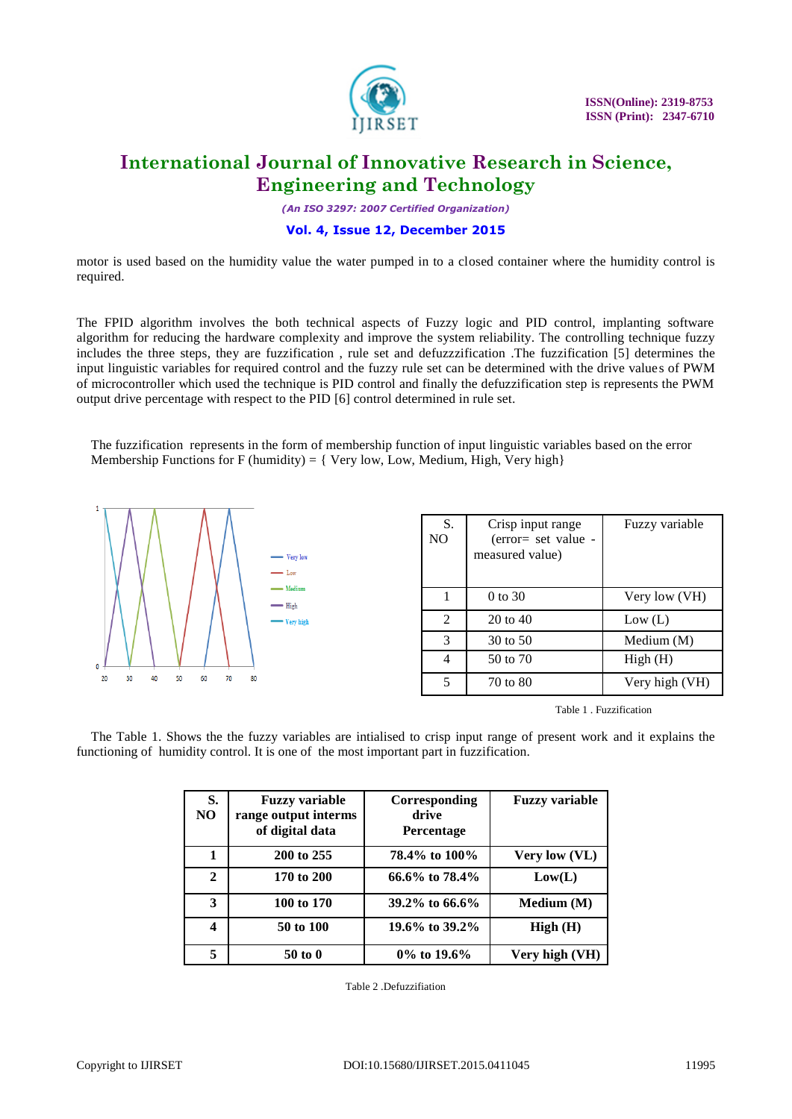

*(An ISO 3297: 2007 Certified Organization)*

### **Vol. 4, Issue 12, December 2015**

motor is used based on the humidity value the water pumped in to a closed container where the humidity control is required.

The FPID algorithm involves the both technical aspects of Fuzzy logic and PID control, implanting software algorithm for reducing the hardware complexity and improve the system reliability. The controlling technique fuzzy includes the three steps, they are fuzzification , rule set and defuzzzification .The fuzzification [5] determines the input linguistic variables for required control and the fuzzy rule set can be determined with the drive values of PWM of microcontroller which used the technique is PID control and finally the defuzzification step is represents the PWM output drive percentage with respect to the PID [6] control determined in rule set.

The fuzzification represents in the form of membership function of input linguistic variables based on the error Membership Functions for F (humidity) =  $\{$  Very low, Low, Medium, High, Very high $\}$ 



Table 1 . Fuzzification

The Table 1. Shows the the fuzzy variables are intialised to crisp input range of present work and it explains the functioning of humidity control. It is one of the most important part in fuzzification.

| S.<br>N <sub>O</sub> | <b>Fuzzy variable</b><br>range output interms<br>of digital data | Corresponding<br>drive<br><b>Percentage</b> | <b>Fuzzy variable</b> |
|----------------------|------------------------------------------------------------------|---------------------------------------------|-----------------------|
| 1                    | 200 to 255                                                       | 78.4% to 100%                               | Very low (VL)         |
| $\mathbf{2}$         | 170 to 200                                                       | 66.6\% to $78.4\%$                          | Low(L)                |
| 3                    | 100 to 170                                                       | $39.2\%$ to 66.6%                           | Medium (M)            |
| 4                    | 50 to 100                                                        | 19.6% to 39.2%                              | High(H)               |
| 5                    | $50$ to $0$                                                      | $0\%$ to 19.6%                              | Very high (VH)        |

Table 2 .Defuzzifiation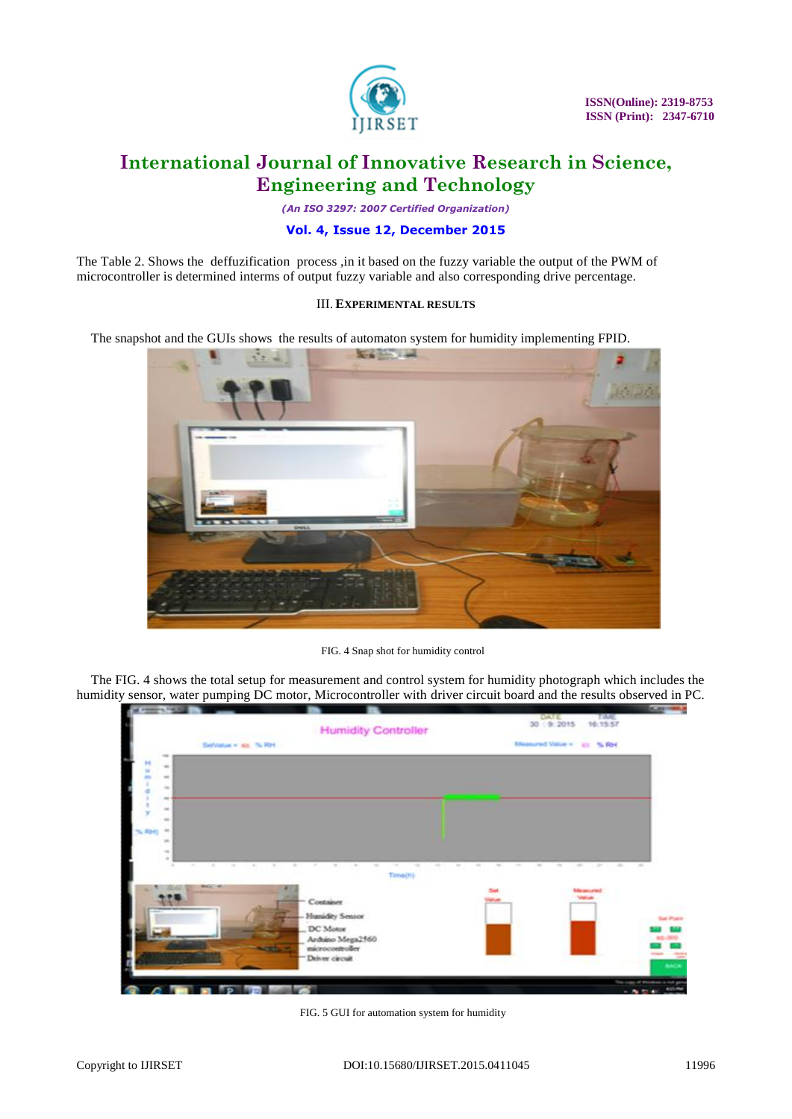

*(An ISO 3297: 2007 Certified Organization)*

### **Vol. 4, Issue 12, December 2015**

The Table 2. Shows the deffuzification process ,in it based on the fuzzy variable the output of the PWM of microcontroller is determined interms of output fuzzy variable and also corresponding drive percentage.

#### III. **EXPERIMENTAL RESULTS**

The snapshot and the GUIs shows the results of automaton system for humidity implementing FPID.



FIG. 4 Snap shot for humidity control

The FIG. 4 shows the total setup for measurement and control system for humidity photograph which includes the humidity sensor, water pumping DC motor, Microcontroller with driver circuit board and the results observed in PC.



FIG. 5 GUI for automation system for humidity